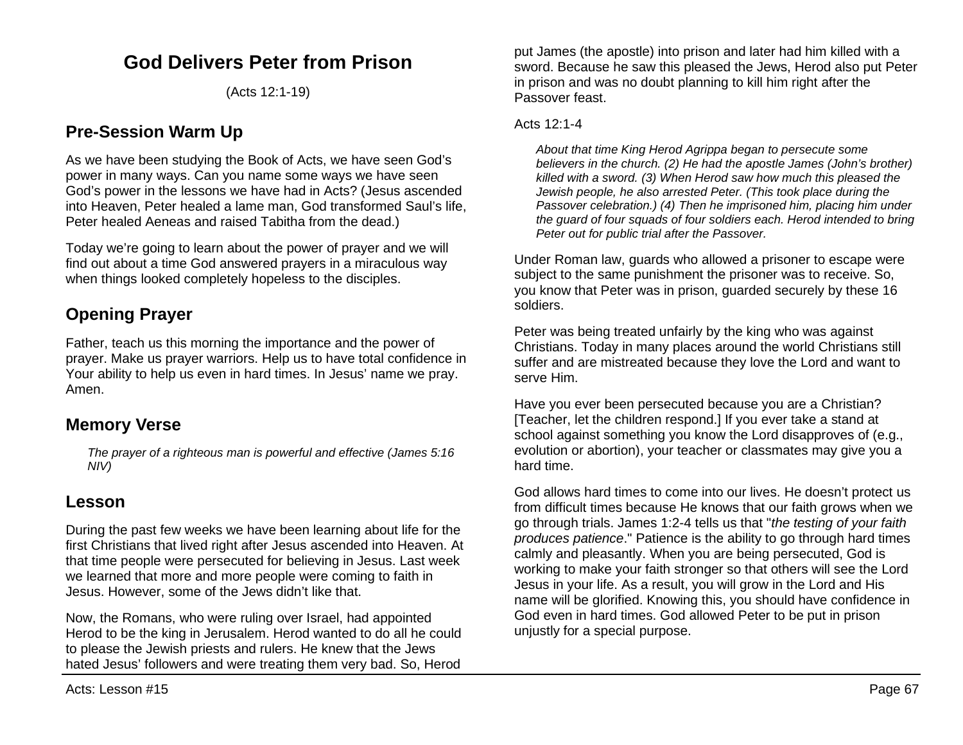# **God Delivers Peter from Prison**

(Acts 12:1-19)

## **Pre-Session Warm Up**

As we have been studying the Book of Acts, we have seen God's power in many ways. Can you name some ways we have seen God's power in the lessons we have had in Acts? (Jesus ascended into Heaven, Peter healed a lame man, God transformed Saul's life, Peter healed Aeneas and raised Tabitha from the dead.)

Today we're going to learn about the power of prayer and we will find out about a time God answered prayers in a miraculous way when things looked completely hopeless to the disciples.

## **Opening Prayer**

Father, teach us this morning the importance and the power of prayer. Make us prayer warriors. Help us to have total confidence in Your ability to help us even in hard times. In Jesus' name we pray. Amen.

### **Memory Verse**

*The prayer of a righteous man is powerful and effective (James 5:16 NIV)*

### **Lesson**

During the past few weeks we have been learning about life for the first Christians that lived right after Jesus ascended into Heaven. At that time people were persecuted for believing in Jesus. Last week we learned that more and more people were coming to faith in Jesus. However, some of the Jews didn't like that.

Now, the Romans, who were ruling over Israel, had appointed Herod to be the king in Jerusalem. Herod wanted to do all he could to please the Jewish priests and rulers. He knew that the Jews hated Jesus' followers and were treating them very bad. So, Herod

put James (the apostle) into prison and later had him killed with a sword. Because he saw this pleased the Jews, Herod also put Peter in prison and was no doubt planning to kill him right after the Passover feast.

#### Acts 12:1-4

*About that time King Herod Agrippa began to persecute some believers in the church. (2) He had the apostle James (John's brother) killed with a sword. (3) When Herod saw how much this pleased the Jewish people, he also arrested Peter. (This took place during the Passover celebration.) (4) Then he imprisoned him, placing him under the guard of four squads of four soldiers each. Herod intended to bring Peter out for public trial after the Passover.*

Under Roman law, guards who allowed a prisoner to escape were subject to the same punishment the prisoner was to receive. So, you know that Peter was in prison, guarded securely by these 16 soldiers.

Peter was being treated unfairly by the king who was against Christians. Today in many places around the world Christians still suffer and are mistreated because they love the Lord and want to serve Him.

Have you ever been persecuted because you are a Christian? [Teacher, let the children respond.] If you ever take a stand at school against something you know the Lord disapproves of (e.g., evolution or abortion), your teacher or classmates may give you a hard time.

God allows hard times to come into our lives. He doesn't protect us from difficult times because He knows that our faith grows when we go through trials. James 1:2-4 tells us that "*the testing of your faith produces patience*." Patience is the ability to go through hard times calmly and pleasantly. When you are being persecuted, God is working to make your faith stronger so that others will see the Lord Jesus in your life. As a result, you will grow in the Lord and His name will be glorified. Knowing this, you should have confidence in God even in hard times. God allowed Peter to be put in prison unjustly for a special purpose.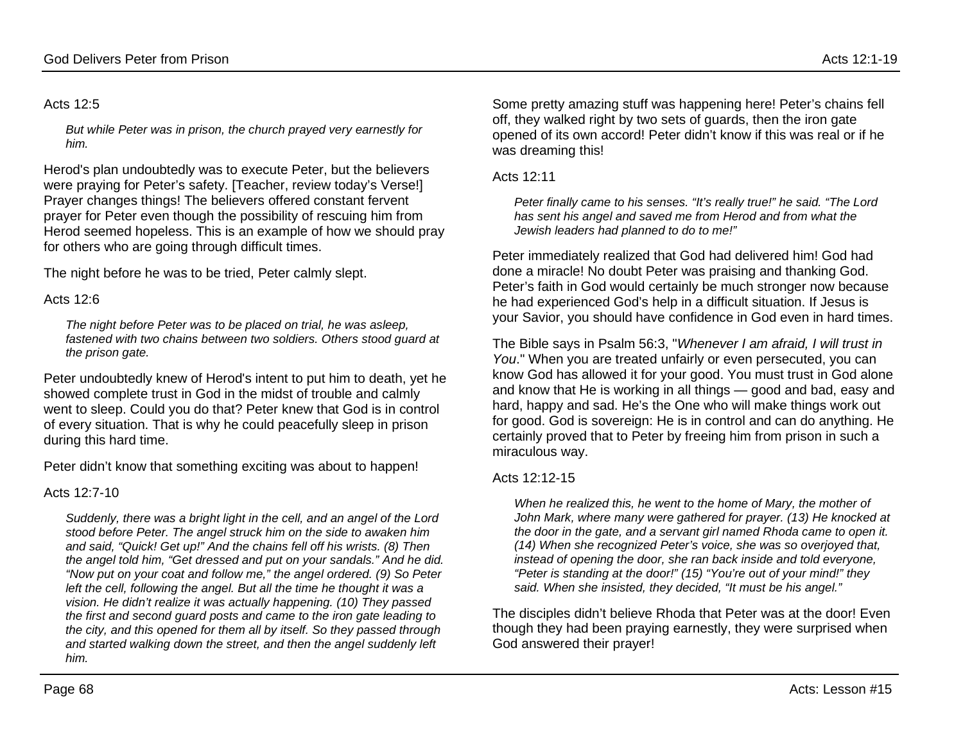#### Acts 12:5

*But while Peter was in prison, the church prayed very earnestly for him.*

Herod's plan undoubtedly was to execute Peter, but the believers were praying for Peter's safety. [Teacher, review today's Verse!] Prayer changes things! The believers offered constant fervent prayer for Peter even though the possibility of rescuing him from Herod seemed hopeless. This is an example of how we should pray for others who are going through difficult times.

The night before he was to be tried, Peter calmly slept.

#### Acts 12:6

*The night before Peter was to be placed on trial, he was asleep, fastened with two chains between two soldiers. Others stood guard at the prison gate.*

Peter undoubtedly knew of Herod's intent to put him to death, yet he showed complete trust in God in the midst of trouble and calmly went to sleep. Could you do that? Peter knew that God is in control of every situation. That is why he could peacefully sleep in prison during this hard time.

Peter didn't know that something exciting was about to happen!

#### Acts 12:7-10

*Suddenly, there was a bright light in the cell, and an angel of the Lord stood before Peter. The angel struck him on the side to awaken him and said, "Quick! Get up!" And the chains fell off his wrists. (8) Then the angel told him, "Get dressed and put on your sandals." And he did. "Now put on your coat and follow me," the angel ordered. (9) So Peter*  left the cell, following the angel. But all the time he thought it was a *vision. He didn't realize it was actually happening. (10) They passed the first and second guard posts and came to the iron gate leading to the city, and this opened for them all by itself. So they passed through and started walking down the street, and then the angel suddenly left him.*

Some pretty amazing stuff was happening here! Peter's chains fell off, they walked right by two sets of guards, then the iron gate opened of its own accord! Peter didn't know if this was real or if he was dreaming this!

#### Acts 12:11

*Peter finally came to his senses. "It's really true!" he said. "The Lord has sent his angel and saved me from Herod and from what the Jewish leaders had planned to do to me!"*

Peter immediately realized that God had delivered him! God had done a miracle! No doubt Peter was praising and thanking God. Peter's faith in God would certainly be much stronger now because he had experienced God's help in a difficult situation. If Jesus is your Savior, you should have confidence in God even in hard times.

The Bible says in Psalm 56:3, "*Whenever I am afraid, I will trust in You*." When you are treated unfairly or even persecuted, you can know God has allowed it for your good. You must trust in God alone and know that He is working in all things — good and bad, easy and hard, happy and sad. He's the One who will make things work out for good. God is sovereign: He is in control and can do anything. He certainly proved that to Peter by freeing him from prison in such a miraculous way.

#### Acts 12:12-15

*When he realized this, he went to the home of Mary, the mother of John Mark, where many were gathered for prayer. (13) He knocked at the door in the gate, and a servant girl named Rhoda came to open it. (14) When she recognized Peter's voice, she was so overjoyed that, instead of opening the door, she ran back inside and told everyone, "Peter is standing at the door!" (15) "You're out of your mind!" they said. When she insisted, they decided, "It must be his angel."*

The disciples didn't believe Rhoda that Peter was at the door! Even though they had been praying earnestly, they were surprised when God answered their prayer!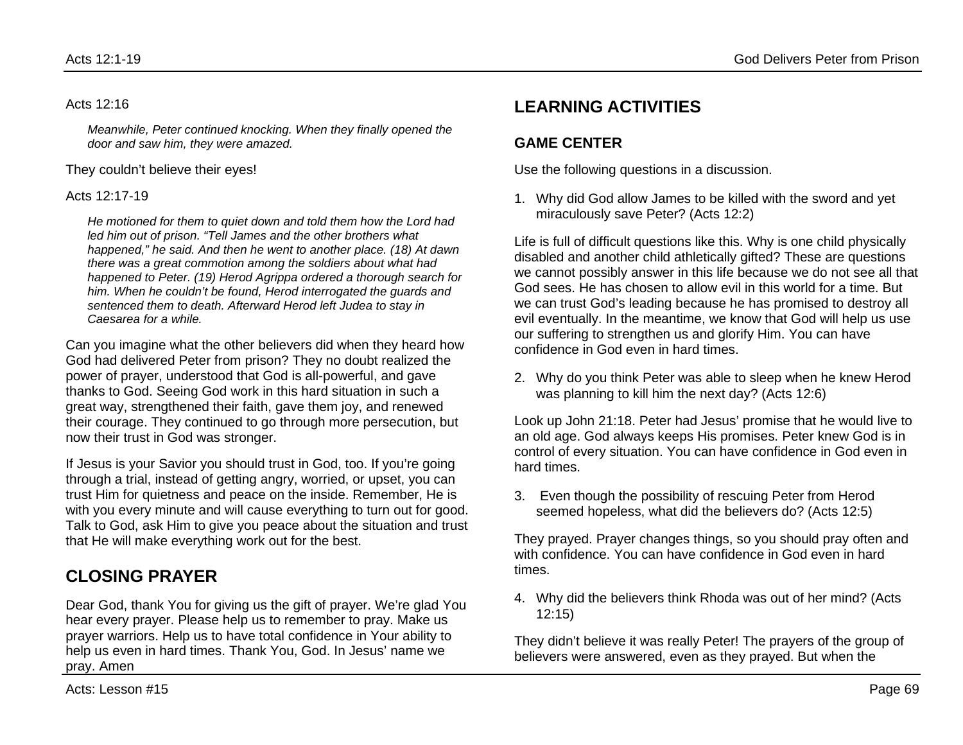#### Acts 12:16

*Meanwhile, Peter continued knocking. When they finally opened the door and saw him, they were amazed.* 

They couldn't believe their eyes!

Acts 12:17-19

*He motioned for them to quiet down and told them how the Lord had led him out of prison. "Tell James and the other brothers what happened," he said. And then he went to another place. (18) At dawn there was a great commotion among the soldiers about what had happened to Peter. (19) Herod Agrippa ordered a thorough search for him. When he couldn't be found, Herod interrogated the guards and sentenced them to death. Afterward Herod left Judea to stay in Caesarea for a while.*

Can you imagine what the other believers did when they heard how God had delivered Peter from prison? They no doubt realized the power of prayer, understood that God is all-powerful, and gave thanks to God. Seeing God work in this hard situation in such a great way, strengthened their faith, gave them joy, and renewed their courage. They continued to go through more persecution, but now their trust in God was stronger.

If Jesus is your Savior you should trust in God, too. If you're going through a trial, instead of getting angry, worried, or upset, you can trust Him for quietness and peace on the inside. Remember, He is with you every minute and will cause everything to turn out for good. Talk to God, ask Him to give you peace about the situation and trust that He will make everything work out for the best.

# **CLOSING PRAYER**

Dear God, thank You for giving us the gift of prayer. We're glad You hear every prayer. Please help us to remember to pray. Make us prayer warriors. Help us to have total confidence in Your ability to help us even in hard times. Thank You, God. In Jesus' name we pray. Amen

# **LEARNING ACTIVITIES**

### **GAME CENTER**

Use the following questions in a discussion.

1. Why did God allow James to be killed with the sword and yet miraculously save Peter? (Acts 12:2)

Life is full of difficult questions like this. Why is one child physically disabled and another child athletically gifted? These are questions we cannot possibly answer in this life because we do not see all that God sees. He has chosen to allow evil in this world for a time. But we can trust God's leading because he has promised to destroy all evil eventually. In the meantime, we know that God will help us use our suffering to strengthen us and glorify Him. You can have confidence in God even in hard times.

2. Why do you think Peter was able to sleep when he knew Herod was planning to kill him the next day? (Acts 12:6)

Look up John 21:18. Peter had Jesus' promise that he would live to an old age. God always keeps His promises. Peter knew God is in control of every situation. You can have confidence in God even in hard times.

3. Even though the possibility of rescuing Peter from Herod seemed hopeless, what did the believers do? (Acts 12:5)

They prayed. Prayer changes things, so you should pray often and with confidence. You can have confidence in God even in hard times.

4. Why did the believers think Rhoda was out of her mind? (Acts 12:15)

They didn't believe it was really Peter! The prayers of the group of believers were answered, even as they prayed. But when the

Acts: Lesson #15 Page 69